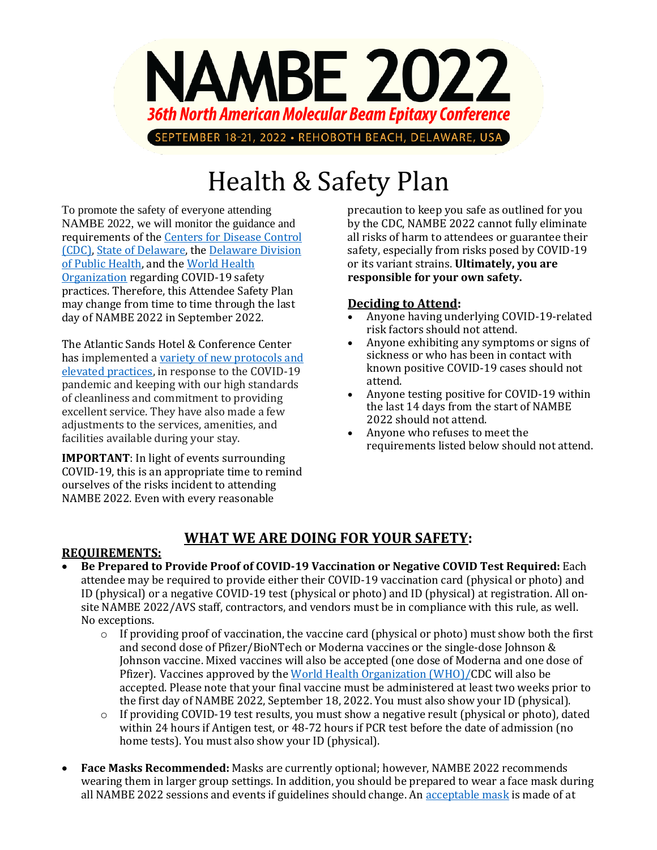

# Health & Safety Plan

To promote the safety of everyone attending NAMBE 2022, we will monitor the guidance and requirements of the [Centers for Disease Control](https://www.cdc.gov/coronavirus/2019-ncov/index.html)  [\(CDC\),](https://www.cdc.gov/coronavirus/2019-ncov/index.html) [State of Delaware,](https://coronavirus.delaware.gov/) the [Delaware Division](https://www.dhss.delaware.gov/dhss/dph/index.html)  [of Public Health,](https://www.dhss.delaware.gov/dhss/dph/index.html) and the [World Health](https://www.who.int/)  [Organization](https://www.who.int/) regarding COVID-19 safety practices. Therefore, this Attendee Safety Plan may change from time to time through the last day of NAMBE 2022 in September 2022.

The Atlantic Sands Hotel & Conference Center has implemented a [variety of new protocols and](https://atlanticsandshotel.com/)  [elevated practices,](https://atlanticsandshotel.com/) in response to the COVID-19 pandemic and keeping with our high standards of cleanliness and commitment to providing excellent service. They have also made a few adjustments to the services, amenities, and facilities available during your stay.

**IMPORTANT**: In light of events surrounding COVID-19, this is an appropriate time to remind ourselves of the risks incident to attending NAMBE 2022. Even with every reasonable

precaution to keep you safe as outlined for you by the CDC, NAMBE 2022 cannot fully eliminate all risks of harm to attendees or guarantee their safety, especially from risks posed by COVID-19 or its variant strains. **Ultimately, you are responsible for your own safety.**

#### **Deciding to Attend:**

- Anyone having underlying COVID-19-related risk factors should not attend.
- Anyone exhibiting any symptoms or signs of sickness or who has been in contact with known positive COVID-19 cases should not attend.
- Anyone testing positive for COVID-19 within the last 14 days from the start of NAMBE 2022 should not attend.
- Anyone who refuses to meet the requirements listed below should not attend.

## **WHAT WE ARE DOING FOR YOUR SAFETY:**

#### **REQUIREMENTS:**

- **Be Prepared to Provide Proof of COVID-19 Vaccination or Negative COVID Test Required:** Each attendee may be required to provide either their COVID-19 vaccination card (physical or photo) and ID (physical) or a negative COVID-19 test (physical or photo) and ID (physical) at registration. All onsite NAMBE 2022/AVS staff, contractors, and vendors must be in compliance with this rule, as well. No exceptions.
	- $\circ$  If providing proof of vaccination, the vaccine card (physical or photo) must show both the first and second dose of Pfizer/BioNTech or Moderna vaccines or the single-dose Johnson & Johnson vaccine. Mixed vaccines will also be accepted (one dose of Moderna and one dose of Pfizer). Vaccines approved by the [World Health Organization \(WHO\)/C](https://www.cdc.gov/coronavirus/2019-ncov/travelers/proof-of-vaccination.html#covid-vaccines/)DC will also be accepted. Please note that your final vaccine must be administered at least two weeks prior to the first day of NAMBE 2022, September 18, 2022. You must also show your ID (physical).
	- $\circ$  If providing COVID-19 test results, you must show a negative result (physical or photo), dated within 24 hours if Antigen test, or 48-72 hours if PCR test before the date of admission (no home tests). You must also show your ID (physical).
- **Face Masks Recommended:** Masks are currently optional; however, NAMBE 2022 recommends wearing them in larger group settings. In addition, you should be prepared to wear a face mask during all NAMBE 2022 sessions and events if guidelines should change. An [acceptable mask](https://www.cdc.gov/coronavirus/2019-ncov/prevent-getting-sick/about-face-coverings.html) is made of at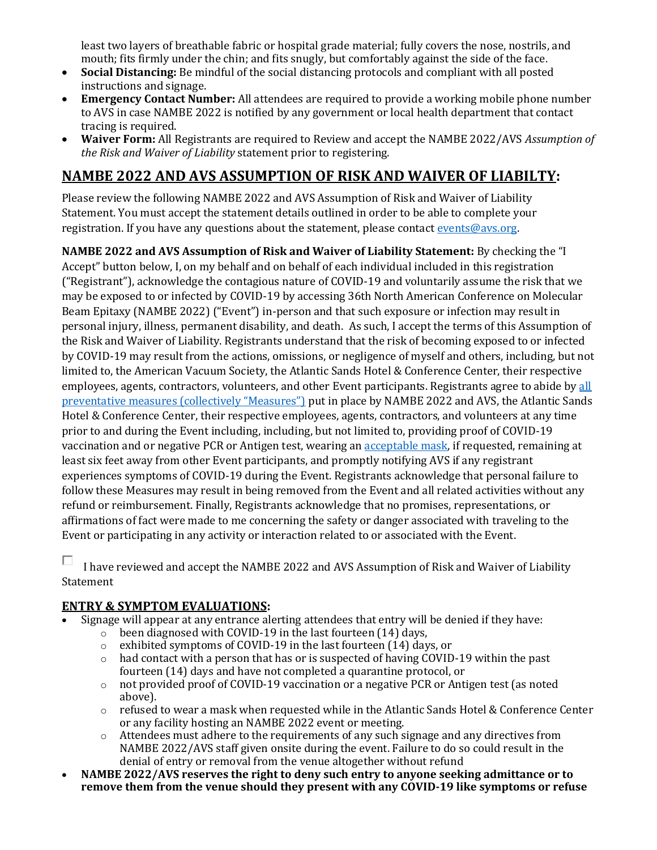least two layers of breathable fabric or hospital grade material; fully covers the nose, nostrils, and mouth; fits firmly under the chin; and fits snugly, but comfortably against the side of the face.

- **Social Distancing:** Be mindful of the social distancing protocols and compliant with all posted instructions and signage.
- **Emergency Contact Number:** All attendees are required to provide a working mobile phone number to AVS in case NAMBE 2022 is notified by any government or local health department that contact tracing is required.
- **Waiver Form:** All Registrants are required to Review and accept the NAMBE 2022/AVS *Assumption of the Risk and Waiver of Liability* statement prior to registering.

# **NAMBE 2022 AND AVS ASSUMPTION OF RISK AND WAIVER OF LIABILTY:**

Please review the following NAMBE 2022 and AVS Assumption of Risk and Waiver of Liability Statement. You must accept the statement details outlined in order to be able to complete your registration. If you have any questions about the statement, please contact [events@avs.org.](mailto:events@avs.org?Subject=)

**NAMBE 2022 and AVS Assumption of Risk and Waiver of Liability Statement:** By checking the "I Accept" button below, I, on my behalf and on behalf of each individual included in this registration ("Registrant"), acknowledge the contagious nature of COVID-19 and voluntarily assume the risk that we may be exposed to or infected by COVID-19 by accessing 36th North American Conference on Molecular Beam Epitaxy (NAMBE 2022) ("Event") in-person and that such exposure or infection may result in personal injury, illness, permanent disability, and death. As such, I accept the terms of this Assumption of the Risk and Waiver of Liability. Registrants understand that the risk of becoming exposed to or infected by COVID-19 may result from the actions, omissions, or negligence of myself and others, including, but not limited to, the American Vacuum Society, the Atlantic Sands Hotel & Conference Center, their respective employees, agents, contractors, volunteers, and other Event participants. Registrants agree to abide by all [preventative measures \(collectively "Measures"\)](https://nambe2022.avs.org/wp-content/uploads/2022/02/NAMBE-2022-Health-Safety-Plan.pdf) put in place by NAMBE 2022 and AVS, the Atlantic Sands Hotel & Conference Center, their respective employees, agents, contractors, and volunteers at any time prior to and during the Event including, including, but not limited to, providing proof of COVID-19 vaccination and or negative PCR or Antigen test, wearing an [acceptable mask,](https://www.cdc.gov/coronavirus/2019-ncov/prevent-getting-sick/about-face-coverings.html) if requested, remaining at least six feet away from other Event participants, and promptly notifying AVS if any registrant experiences symptoms of COVID-19 during the Event. Registrants acknowledge that personal failure to follow these Measures may result in being removed from the Event and all related activities without any refund or reimbursement. Finally, Registrants acknowledge that no promises, representations, or affirmations of fact were made to me concerning the safety or danger associated with traveling to the Event or participating in any activity or interaction related to or associated with the Event.

п I have reviewed and accept the NAMBE 2022 and AVS Assumption of Risk and Waiver of Liability Statement

#### **ENTRY & SYMPTOM EVALUATIONS:**

- Signage will appear at any entrance alerting attendees that entry will be denied if they have:
	- o been diagnosed with COVID-19 in the last fourteen (14) days,
	- o exhibited symptoms of COVID-19 in the last fourteen (14) days, or
	- o had contact with a person that has or is suspected of having COVID-19 within the past fourteen (14) days and have not completed a quarantine protocol, or
	- o not provided proof of COVID-19 vaccination or a negative PCR or Antigen test (as noted above).
	- o refused to wear a mask when requested while in the Atlantic Sands Hotel & Conference Center or any facility hosting an NAMBE 2022 event or meeting.
	- o Attendees must adhere to the requirements of any such signage and any directives from NAMBE 2022/AVS staff given onsite during the event. Failure to do so could result in the denial of entry or removal from the venue altogether without refund
- **NAMBE 2022/AVS reserves the right to deny such entry to anyone seeking admittance or to remove them from the venue should they present with any COVID-19 like symptoms or refuse**